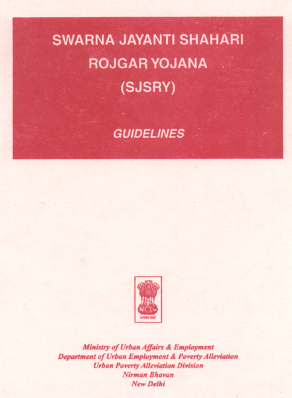#### **SWARNA JAYANTI SHAHARI ROJGAR YOJANA** (SJSRY)

#### **GUIDELINES**



Ministry of Urban Affairs & Employment **Department of Urban Employment & Poverty Alleviation**<br>Urban Poverty Alleviation Division Nirman Bhavan New Delhi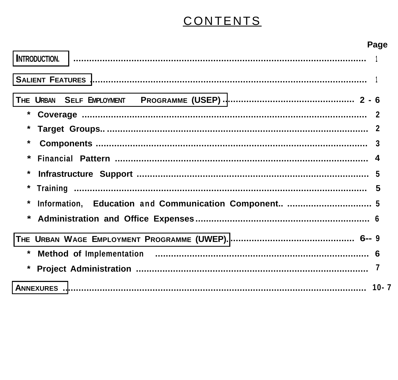# CONTENTS

|                                                       | Page |
|-------------------------------------------------------|------|
|                                                       |      |
|                                                       |      |
|                                                       |      |
|                                                       |      |
|                                                       |      |
| *                                                     |      |
| *                                                     |      |
| *                                                     |      |
|                                                       |      |
| Information, Education and Communication Component  5 |      |
|                                                       |      |
|                                                       |      |
|                                                       |      |
|                                                       |      |
|                                                       |      |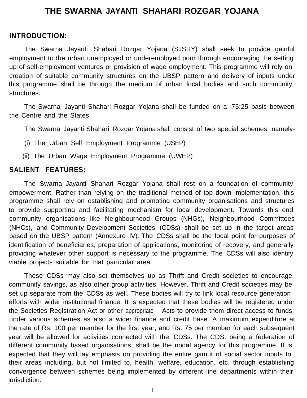## **THE SWARNA JAYANTI SHAHARI ROZGAR YOJANA**

#### <span id="page-2-0"></span>**INTRODUCTION:**

The Swarna Jayanti Shahari Rozgar Yojana (SJSRY) shall seek to provide gainful employment to the urban unemployed or underemployed poor through encouraging the setting up of self-employment ventures or provision of wage employment. This programme will rely on creation of suitable community structures on the UBSP pattern and delivery of inputs under this programme shall be through the medium of urban local bodies and such community structures.

The Swarna Jayanti Shahari Rozgar Yojana shall be funded on a 75:25 basis between the Centre and the States.

The Swarna Jayanti Shahari Rozgar Yojana shall consist of two special schemes, namely-

- (i) The Urban Self Employment Programme (USEP)
- (ii) The Urban Wage Employment Programme (UWEP)

#### **SALIENT FEATURES:**

The Swarna Jayanti Shahari Rozgar Yojana shall rest on a foundation of community empowerment. Rather than relying on the traditional method of top down implementation, this programme shall rely on establishing and promoting community organisations and structures to provide supporting and facilitating mechanism for local development. Towards this end community organisations like Neighbourhood Groups (NHGs), Neighbourhood Committees (NHCs), and Community Development Societies (CDSs) shall be set up in the target areas based on the UBSP pattern (Annexure IV). The CDSs shall be the focal point for purposes of identification of beneficiaries, preparation of applications, monitoring of recovery, and generally providing whatever other support is necessary to the programme. The CDSs will also identify viable projects suitable for that particular area.

These CDSs may also set themselves up as Thrift and Credit societies to encourage community savings, as also other group activities. However, Thrift and Credit societies may be set up separate from the CDSs as well. These bodies will try to link local resource generation efforts with wider institutional finance. It is expected that these bodies will be registered under the Societies Registration Act or other appropriate Acts to provide them direct access to funds under various schemes as also a wider finance and credit base. A maximum expenditure at the rate of Rs. 100 per member for the first year, and Rs. 75 per member for each subsequent year will be allowed for activities connected with the CDSs. The CDS, being a federation of different community based organisations, shall be the nodal agency for this programme. It is expected that they will lay emphasis on providing the entire gamut of social sector inputs to their areas including, but not limited to, health, welfare, education, etc. through establishing convergence between schemes being implemented by different line departments within their jurisdiction.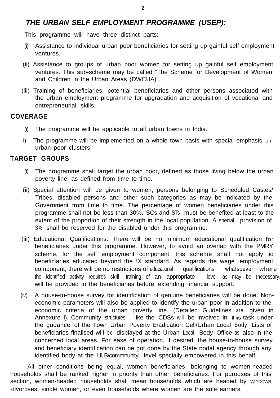## <span id="page-3-0"></span>*THE URBAN SELF EMPLOYMENT PROGRAMME (USEP):*

This programme will have three distinct parts:-

- (i) Assistance to individual urban poor beneficiaries for setting up gainful self employment ventures.
- (ii) Assistance to groups of urban poor women for setting up gainful self employment ventures. This sub-scheme may be called "The Scheme for Development of Women and Children in the Urban Areas (DWCUA)".
- (iii) Training of beneficiaries, potential beneficiaries and other persons associated with the urban employment programme for upgradation and acquisition of vocational and entrepreneurial skills.

## **COVERAGE**

- (i) The programme will be applicable to all urban towns in India.
- ii) The programme will be implemented on a whole town basis with special emphasis on urban poor clusters.

## **TARGET GROUPS**

- (i) The programme shall target the urban poor, defined as those living below the urban poverty line, as defined from time to time.
- (ii) Special attention will be given to women, persons belonging to Scheduled Castes/ Tribes, disabled persons and other such categories as may be indicated by the Government from time to time. The percentage of women beneficiaries under this programme shall not be less than 30%. SCs and STs must be benefited at least to the extent of the proportion of their strength in the local population. A special provision of 3% shall be reserved for the disabled under this programme.
- (iii) Educational Qualifications: There will be no minimum educational qualification for beneficiaries under this programme. However, to avoid an overlap with the PMRY scheme, for the self employment component. this scheme shall not apply io beneficiaries educated beyond the !X standard. As regards the wage emp!oyment component, there will be no restrictions of educational qualifications whatsoever where the identified activity requires skill training of an appropriate level. as may be (necessary. will be provided to the beneficiaries before extending financial support.
- (iv) A house-to-house survey for identification of genuine beneficiaries will be done. Noneconomic parameters will also be applied to identify the urban poor in addition to the economic criteria of the urban poverty line. (Detailed Guidelines are given in Annexure I). Community structures like the CDSs will be involved in this task under the gudance of the Town Urban Poverty Eradication Cell/Urban Local Body Lists of beneficiaries finalised will be displayed at the Urban Local Body Office as also in the concerned local areas. For ease of operation, if desired. the house-to-house survey and beneficiary identification can be got done by the State nodal agency through any identified body at the ULB/commnunity level specially empowered in this behalf.

All other conditions being equal, women beneficiaries belonging to women-headed households shall be ranked higher in priority than other beneficiaries. For purooses of this section, women-headed households shall mean households which are headed by windows divorcees, single women, or even households where women are the sole earners.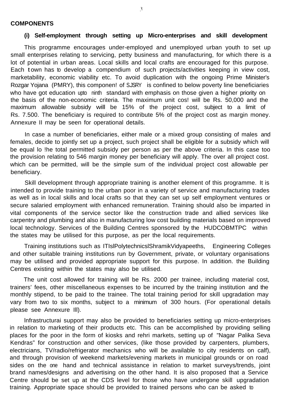#### **COMPONENTS**

#### **(i) Self-employment through setting up Micro-enterprises and skill development**

This programme encourages under-employed and unemployed urban youth to set up small enterprises relating to servicing, petty business and manufacturing, for which there is a lot of potential in urban areas. Local skills and local crafts are encouraged for this purpose. Each town has to develop a compendium of such projects/activities keeping in view cost. marketability, economic viability etc. To avoid duplication with the ongoing Prime Minister's Rozgar Yojana (PMRY), this componen! of S.JSRY is confined to below poverty line beneficiaries who have got education upto ninth standard with emphasis on those given a higher priority on the basis of the non-economic criteria. The maximum unit cos! will be Rs. 50,000 and the maximum allowable subsidy will be 15% of the project cost, subject to a limit of Rs. 7.500. The beneficiary is required to contribute 5% of the project cost as margin money. Annexure II may be seen for operational details.

In case a number of beneficiaries, either male or a mixed group consisting of males and females, decide to jointly set up a project, such project shall be eligible for a subsidy which will be equal lo !he total permitted subsidy per person as per the above criteria. In this case too the provision relating to 546 margin money per beneficiary will apply. The over all project cost. which can be permitted, will be the simple sum of the individual project cost allowable per beneficiary.

Skill development through appropriate training is another element of this programme. It is intended to provide training to the urban poor in a variety of service and manufacturing trades as well as in local skills and local crafts so that they can set up self employment ventures or secure salaried employment with enhanced remuneration. Training should also be imparted in vital components of the service sector like the construction trade and allied services like carpentry and plumbing and also in manufacturing low cost building materials based on improved local technology. Services of the Building Centres sponsored by the HUDCOBMTPC within the states may be utilised for this purpose, as per the local requirements.

Training institutions such as ITIslPolytechnicslShramikVidyapeeths, Engineering Colleges and other suitable training institutions run by Government, private, or voluntary organisations may be utilised and provided appropriate support for this purpose. In addition. the Building Centres existing within the states may also be utilised.

The unit cost allowed for training will be Rs. 2000 per trainee, including material cost, trainers' fees, other miscellaneous expenses to be incurred by the training institution and the monthly stipend, to be paid to the trainee. The total training period for skill upgradation may vary from two to six months, subject to a minimum of 300 hours. (For operational details please see Annexure Ill).

lnfrastructurai support may also be provided to beneficiaries setting up micro-enterprises in relation to marketing of their products etc. This can be accomplished by providing selling places for the poor in the form of kiosks and rehri markets, setting up of "Nagar Palika Seva Kendras" for construction and other services, (like those provided by carpenters, plumbers, electricians, TV/radio/refrigerator mechanics who will be available to city residents on calf), and through provision of weekend markets/evening markets in municipal grounds or on road sides on the one hand and technical assistance in relation to market surveys/trends, joint brand names/designs and advertising on the other hand. It is also proposed that a Service Centre should be set up at the CDS level for those who have undergone skill upgradation training. Appropriate space should be provided to trained persons who can be asked to

 $\mathbf{3}$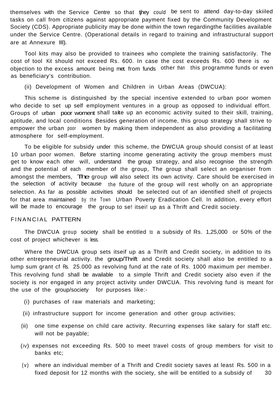themselves with the Service Centre so that tjhey could be sent to attend day-to-day skiiled tasks on call from citizens against appropriate payment fixed by the Community Development Society (CDS). Appropriate publicity may be done within the town regardingthe facilities available under the Service Centre. (Operational details in regard to training and infrastructural support are at Annexure III).

Tool kits may also be provided to trainees who complete the training satisfactorily. The cost of tool Kit should not exceed Rs. 600. In case the cost exceeds Rs. 600 there is no objection to the excess amount being met. from funds other than this programme funds or even as beneficiary's contribution.

(ii) Development of Women and Children in Urban Areas (DWCUA):

This scheme is distinguished by the special incentive extended to urban poor women who decide to set up self employment ventures in a group as opposed to individual effort. Groups of urban poor woment shall take up an economic activity suited to their skill, training, aptitude, and local conditions Besides generation of income, this group strategy shall strive to empower the urban poor women by making them independent as also providing a facilitating atmosphere for self-employment.

To be eligible for subsidy under this scheme, the DWCUA group should consist of at least 10 urban poor women. Before starting income generating activity the group members must get to know each other will, understand the group strategy, and also recognise the strength and the potential of each member of the group, The group shall select an organiser from amongst the members, The group will also select its own activity. Care should be exercised in the selection of activity because the future of the group will rest wholly on an appropriate selection. As far as possible activities should be selected out of an identified shelf of projects for that area maintained by the Town Urban Poverty Eradication Cell. In addition, every effort will be made to encourage the group to se! itsei! up as a Thrift and Credit society.

#### FINANCIAL PATTERN

The DWCUA group society shall be entitled to a subsidy of Rs. 1,25,000 or 50% of the cost of project whichever is less.

Where the DWCUA group sets itseif up as a Thrift and Credit society, in addition to its other entrepreneurial activity. the group/Thrift and Credit society shall also be entitled to a lump sum grant cf Rs. 25.000 as revolving fund at the rate of Rs. 1000 maximum per member. This revolving fund shall be available to a simple Thrift and Credit society also even if the society is nor engaged in any project activity under DWCUA. This revolving fund is meant for the use of the group/society for purposes like:-

- (i) purchases of raw materials and marketing;
- (ii) infrastructure support for income generation and other group activities;
- (iii) one time expense on child care activity. Recurring expenses like salary for staff etc. will not be payable;
- (IV) expenses not exceeding Rs. 500 to meet travel costs of group members for visit to banks etc;
- (v) where an individual member of a Thrift and Credit society saves at least Rs. 500 in a fixed deposit for 12 months with the society, she will be entitled to a subsidy of  $30$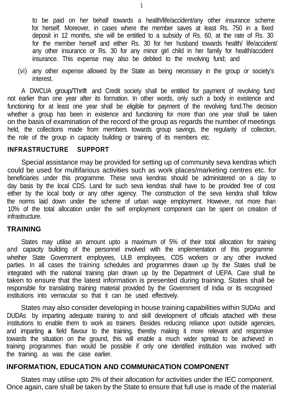to be paid on her behalf towards a health/life/accident/any other insurance scheme for herself. Moreover, in cases where the member saves at least Rs. 750 in a fixed deposit in 12 months, she will be entitled to a subsidy of Rs. 60, at the rate of Rs. 30 for the member herself and either Rs. 30 for her husband towards health/ life/accident/ any other insurance or Rs. 30 for any minor girl child in her family for health/accident insurance. This expense may also be debited to the revolving fund; and

(vi) any other expense allowed by the State as being necessary in the group or society's interest.

A DWCUA group/Thrift and Credit society shall be entitled for payment of revolving fund not earlier than one year after its formation. In other words, only such a body in existence and functioning for at least one year shall be eligible for payment of the revolving fund.The decision whether a group has been in existence and functioning for more than one year shall be taken on the basis of examination of the record of the group as regards the number of meetings held, the collections made from members towards group savings, the regularity of collection, the role of the group in capacity building or training of its members etc.

## **INFRASTRUCTURE SUPPORT**

Special assistance may be provided for setting up of community seva kendras which could be used for multifarious activities such as work places/marketing centres etc. for beneficiaries under this programme. These seva kendras should be administered on a day to day basis by the local CDS. Land for such seva kendras shall have to be provided free of cost either by the local body or any other agency. The construction of the seva kendra shall follow the norms laid down under the scheme of urban wage employment. However, not more than 10% of the total allocation under the self employment component can be spent on creation of infrastructure.

## **TRAINING**

States may utilise an amount upto a maximum of 5% of their total allocation for training and capacity building of the personnel involved with the implementation of this programme whether State Government employees, ULB employees, CDS workers or any other involved parties. In all cases the training schedules and programmes drawn up by the States shall be integrated with the national training plan drawn up by the Department of UEPA. Care shall be taken to ensure that the latest information is presented during training. States shall be responsible for translating training material provided by the Government of India or its recognised institutions into vernacular so that it can be used effectively.

States may also consider developing in house training capabilities within SUDAs and DUDAs by imparting adequate training to and skill development of officials attached with these institutions to enable them to work as trainers. Besides reducing reliance upon outside agencies, and imparting **a** field flavour to the training, thereby making it more relevant and responsive towards the situation on the ground, this will enable a much wider spread to be achieved in training programmes than would be possible if only one identified institution was involved with the training. as was the case earlier.

## **INFORMATION, EDUCATION AND COMMUNICATION COMPONENT**

States may utilise upto 2% of their allocation for activities under the IEC component. Once again, care shall be taken by the State to ensure that full use is made of the material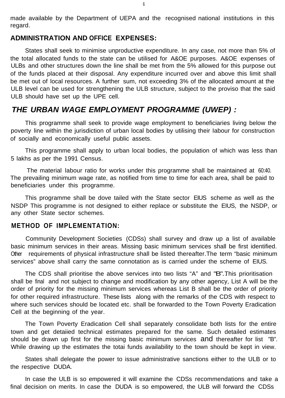<span id="page-7-0"></span>made available by the Department of UEPA and the recognised national institutions in this regard.

### **ADMINISTRATION AND OFFICE EXPENSES:**

States shall seek to minimise unproductive expenditure. In any case, not more than 5% of the total allocated funds to the state can be utilised for A&OE purposes. A&OE expenses of ULBs and other structures down the line shall be met from the 5% allowed for this purpose out of the funds placed at their disposal. Any expenditure incurred over and above this limit shall be met out of local resources. A further sum, not exceeding 3% of the allocated amount at the ULB level can be used for strengthening the ULB structure, subject to the proviso that the said ULB should have set up the UPE cell.

## *THE URBAN WAGE EMPLOYMENT PROGRAMME (UWEP) :*

This programme shall seek to provide wage employment to beneficiaries living below the poverty line within the jurisdiction of urban local bodies by utilising their Iabour for construction of socially and economically useful public assets.

This programme shall apply to urban local bodies, the population of which was less than 5 lakhs as per the 1991 Census.

The material labour ratio for works under this programme shall be maintained at 60:40. The prevailing minimum wage rate, as notified from time to time for each area, shall be paid to beneficiaries under this programme.

This programme shall be dove tailed with the State sector EIUS scheme as well as the NSDP This programme is not designed to either replace or substitute the EIUS, the NSDP, or any other State sector schemes.

#### **METHOD OF IMPLEMENTATION:**

Community Development Societies (CDSs) shall survey and draw up a list of available basic minimum services in their areas. Missing basic minimum services shall be first identified. Other requirements of physical infrastructure shall be listed thereafter.The term "basic minimum services" above shall carry the same connotation as is carried under the scheme of EIUS.

The CDS shall prioritise the above services into two lists "A" and "B". This prioritisation shall be final and not subject to change and modification by any other agency, List A will be the order of priority for the missing minimum services whereas List B shall be the order of priority for other required infrastructure. These lists along with the remarks of the CDS with respect to where such services should be located etc. shall be forwarded to the Town Poverty Eradication Cell at the beginning of the year.

The Town Poverty Eradication Cell shall separately consolidate both lists for the entire town and get detaiied technical estimates prepared for the same. Such detailed estimates should be drawn up first for the missing basic minimum services and thereafter for list "B". While drawing up the estimates the totai funds availability to the town should be kept in view.

States shall delegate the power to issue administrative sanctions either to the ULB or to the respective DUDA.

In case the ULB is so empowered it will examine the CDSs recommendations and take a final decision on merits. In case the DUDA is so empowered, the ULB will forward the CDSs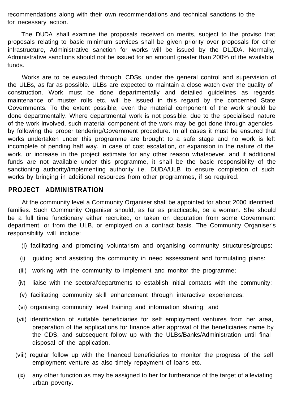recommendations along with their own recommendations and technical sanctions to the for necessary action.

The DUDA shall examine the proposals received on merits, subject to the proviso that proposals relating to basic minimum services shall be given priority over proposals for other infrastructure, Administrative sanction for works will be issued by the DLJDA. Normally, Administrative sanctions should not be issued for an amount greater than 200% of the available funds.

Works are to be executed through CDSs, under the general control and supervision of the ULBs, as far as possible. ULBs are expected to maintain a close watch over the quality of construction. Work must be done departmentally and detailed guidelines as regards maintenance of muster rolls etc. will be issued in this regard by the concerned State Governments. To the extent possible, even the material component of the work should be done departmentally. Where departmental work is not possible. due to the specialised nature of the work involved, such material component of the work may be got done through agencies by following the proper tendering/Government procedure. In all cases it must be ensured that works undertaken under this programme are brought to a safe stage and no work is left incomplete of pending half way. In case of cost escalation, or expansion in the nature of the work, or increase in the project estimate for any other reason whatsoever, and if additional funds are not available under this programme, it shall be the basic responsibility of the sanctioning authority/implementing authority i.e. DUDA/ULB to ensure completion of such works by bringing in additional resources from other programmes, if so required.

## **PROJECT ADMINISTRATION**

At the community level a Community Organiser shall be appointed for about 2000 identified families. Such Community Organiser should, as far as practicable, be a woman. She should be a full time functionary either recruited, or taken on deputation from some Government department, or from the ULB, or employed on a contract basis. The Community Organiser's responsibility will include:

- (i) facilitating and promoting voluntarism and organising community structures/groups;
- (ii) guiding and assisting the community in need assessment and formulating plans:
- (iii) working with the community to implement and monitor the programme;
- (iv) liaise with the sectoral'departments to establish initial contacts with the community;
- (v) facilitating community skill enhancement through interactive experiences:
- (vi) organising community level training and information sharing; and
- (vii) identification of suitable beneficiaries for self employment ventures from her area, preparation of the applications for finance after approval of the beneficiaries name by the CDS, and subsequent follow up with the ULBs/Banks/Administration until final disposal of the application.
- (viii) regular follow up with the financed beneficiaries to monitor the progress of the self employment venture as also timely repayment of loans etc.
- (ix) any other function as may be assigned to her for furtherance of the target of alleviating urban poverty.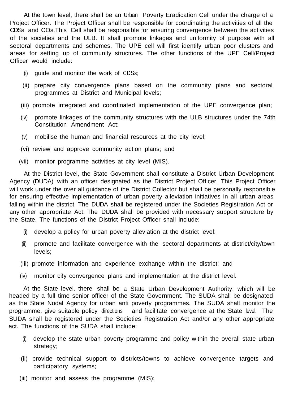At the town level, there shall be an Urban Poverty Eradication Cell under the charge of a Project Officer. The Project Officer shall be responsible for coordinating the activities of all the CDSs and COs.This Cell shall be responsible for ensuring convergence between the activities of the societies and the ULB. It shall promote linkages and uniformity of purpose with all sectoral departments and schemes. The UPE cell will first identify urban poor clusters and areas for setting up of community structures. The other functions of the UPE Cell/Project Officer would include:

- (i) guide and monitor the work of CDSs;
- (ii) prepare city convergence plans based on the community plans and sectoral programmes at District and Municipal levels;
- (iii) promote integrated and coordinated implementation of the UPE convergence plan;
- (iv) promote linkages of the community structures with the ULB structures under the 74th Constitution Amendment Act;
- (v) mobilise the human and financial resources at the city level;
- (vi) review and approve community action plans; and
- (vii) monitor programme activities at city level (MIS).

At the District level, the State Government shall constitute a District Urban Development Agency (DUDA) with an officer designated as the District Project Officer. This Project Officer will work under the over all guidance of ihe District Collector but shall be personally responsible for ensuring effective implementation of urban poverty alleviation initiatives in all urban areas falling within the district. The DUDA shall be registered under the Societies Registration Act or any other appropriate Act. The DUDA shall be provided with necessary support structure by the State. The functions of the District Project Officer shall include:

- (i) develop a policy for urban poverty alleviation at the district level:
- (ii) promote and facilitate convergence with the sectoral departments at district/city/town levels;
- (iii) promote information and experience exchange within the district; and
- (iv) monitor ci!y convergence plans and implementation at the district level.

At the State level. there shall be a State Urban Development Authority, which will be headed by a full time senior officer of the State Government. The SUDA shall be designated as the State Nodal Agency for urban anti poverty programmes. The SUDA shalt monitor the programme. give suitable policy directions and facilitate convergence at the State level. The SUDA shall be registered under the Societies Registration Act and/or any other appropriate act. The functions of the SUDA shall include:

- (i) develop the state urban poverty programme and policy within the overall state urban strategy;
- (ii) provide technical support to districts/towns to achieve convergence targets and participatory systems;
- (iii) monitor and assess the programme (MIS);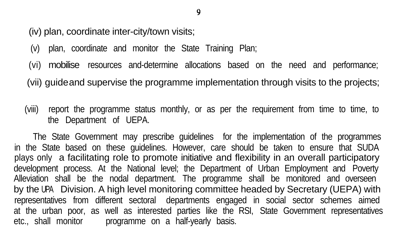(iv) plan, coordinate inter-city/town visits;

- (v) plan, coordinate and monitor the State Training Plan;
- (vi) mobilise resources and-determine allocations based on the need and performance;
- (vii) guideand supervise the programme implementation through visits to the projects;
- (viii) report the programme status monthly, or as per the requirement from time to time, to the Department of UEPA.

The State Government may prescribe guidelines for the implementation of the programmes in the State based on these guidelines. However, care should be taken to ensure that SUDA plays only a facilitating role to promote initiative and flexibility in an overall participatory development process. At the National level; the Department of Urban Employment and Poverty Alleviation shall be the nodal department. The programme shall be monitored and overseen by the UPA Division. A high level monitoring committee headed by Secretary (UEPA) with representatives from different sectoral departments engaged in social sector schemes aimed at the urban poor, as well as interested parties like the RSI, State Government representatives etc., shall monitor brogramme on a half-yearly basis.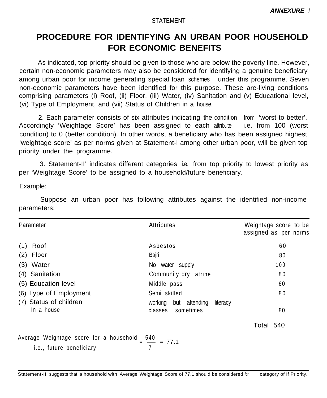#### STATEMENT I

## <span id="page-11-0"></span>**PROCEDURE FOR IDENTIFYING AN URBAN POOR HOUSEHOLD FOR ECONOMIC BENEFITS**

As indicated, top priority should be given to those who are below the poverty line. However, certain non-economic parameters may also be considered for identifying a genuine beneficiary among urban poor for income generating special loan schemes under this programme. Seven non-economic parameters have been identified for this purpose. These are-living conditions comprising parameters (i) Roof, (ii) Floor, (iii) Water, (iv) Sanitation and (v) Educational level, (vi) Type of Employment, and (vii) Status of Children in a house.

2. Each parameter consists of six attributes indicating the condition from 'worst to better'. Accordingly 'Weightage Score' has been assigned to each attribute i.e. from 100 (worst condition) to 0 (better condition). In other words, a beneficiary who has been assigned highest 'weightage score' as per norms given at Statement-l among other urban poor, will be given top priority under the programme.

3. Statement-II' indicates different categories i.e. from top priority to lowest priority as per 'Weightage Score' to be assigned to a household/future beneficiary.

Example:

Suppose an urban poor has following attributes against the identified non-income parameters:

| Parameter                                                           | Attributes                                                   | Weightage score to be<br>assigned as per norms |
|---------------------------------------------------------------------|--------------------------------------------------------------|------------------------------------------------|
| Roof<br>(1)                                                         | Asbestos                                                     | 60                                             |
| $(2)$ Floor                                                         | Bajri                                                        | 80                                             |
| (3) Water                                                           | No water supply                                              | 100                                            |
| (4) Sanitation                                                      | Community dry latrine                                        | 80                                             |
| (5) Education level                                                 | Middle pass                                                  | 60                                             |
| (6) Type of Employment                                              | Semi skilled                                                 | 80                                             |
| (7) Status of children<br>in a house                                | working<br>but attending<br>literacy<br>sometimes<br>classes | 80                                             |
|                                                                     |                                                              | Total 540                                      |
| Average Weightage score for a household<br>i.e., future beneficiary | $\frac{540}{2}$ = 77.1                                       |                                                |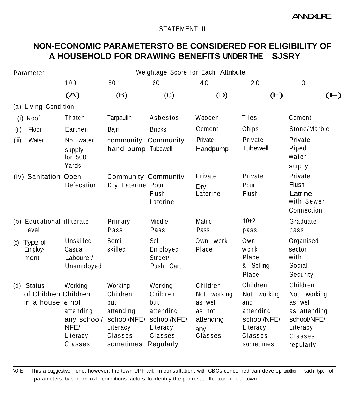#### STATEMENT II

## **NON-ECONOMIC PARAMETERSTO BE CONSIDERED FOR ELIGIBILITY OF A HOUSEHOLD FOR DRAWING BENEFITS UNDER THE SJSRY**

| Parameter                                              | Weightage Score for Each Attribute                                 |                                                                             |                                                                                                        |                                                                             |                                                                                                |                                                                                                       |
|--------------------------------------------------------|--------------------------------------------------------------------|-----------------------------------------------------------------------------|--------------------------------------------------------------------------------------------------------|-----------------------------------------------------------------------------|------------------------------------------------------------------------------------------------|-------------------------------------------------------------------------------------------------------|
|                                                        | 100                                                                | 80                                                                          | 60                                                                                                     | 40                                                                          | 20                                                                                             | 0                                                                                                     |
|                                                        | (A)                                                                | (B)                                                                         | (C)                                                                                                    | (D)                                                                         | (E)                                                                                            | (F)                                                                                                   |
| (a) Living Condition                                   |                                                                    |                                                                             |                                                                                                        |                                                                             |                                                                                                |                                                                                                       |
| (i) Roof                                               | Thatch                                                             | Tarpaulin                                                                   | Asbestos                                                                                               | Wooden                                                                      | Tiles                                                                                          | Cement                                                                                                |
| Floor<br>(ii)                                          | Earthen                                                            | Bajri                                                                       | <b>Bricks</b>                                                                                          | Cement                                                                      | Chips                                                                                          | Stone/Marble                                                                                          |
| (iii)<br>Water                                         | No water<br>supply<br>for 500<br>Yards                             | community Community<br>hand pump Tubewell                                   |                                                                                                        | Private<br>Handpump                                                         | Private<br><b>Tubewell</b>                                                                     | Private<br>Piped<br>water<br>suply                                                                    |
| (iv) Sanitation Open                                   | Defecation                                                         | <b>Community Community</b><br>Dry Laterine Pour                             | Flush<br>Laterine                                                                                      | Private<br>Dry<br>Laterine                                                  | Private<br>Pour<br>Flush                                                                       | Private<br>Flush<br>Latrine<br>with Sewer<br>Connection                                               |
| (b) Educational illiterate<br>Level                    |                                                                    | Primary<br>Pass                                                             | Middle<br>Pass                                                                                         | Matric<br>Pass                                                              | $10+2$<br>pass                                                                                 | Graduate<br>pass                                                                                      |
| Type of<br>$\left( c \right)$<br>Employ-<br>ment       | Unskilled<br>Casual<br>Labourer/<br>Unemployed                     | Semi<br>skilled                                                             | Sell<br>Employed<br>Street/<br>Push Cart                                                               | Own work<br>Place                                                           | Own<br>work<br>Place<br>& Selling<br>Place                                                     | Organised<br>sector<br>with<br>Social<br>Security                                                     |
| (d) Status<br>of Children Children<br>in a house & not | Working<br>attending<br>any school/<br>NFE/<br>Literacy<br>Classes | Working<br>Children<br>but<br>attending<br>Literacy<br>Classes<br>sometimes | Working<br>Children<br>but<br>attending<br>school/NFE/ school/NFE/<br>Literacy<br>Classes<br>Regularly | Children<br>Not working<br>as well<br>as not<br>attending<br>any<br>Classes | Children<br>Not working<br>and<br>attending<br>school/NFE/<br>Literacy<br>Classes<br>sometimes | Children<br>Not working<br>as well<br>as attending<br>school/NFE/<br>Literacy<br>Classes<br>regularly |

NOTE: This a suggestive one, however, the town UPF cell, in consultation, with CBOs concerned can develop another such type of parameters based on local conditions.factors lo identify the poorest of the poor in the town.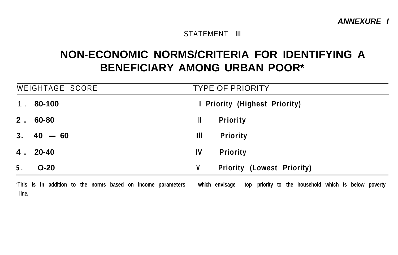*ANNEXURE I*

#### STATEMENT III

## **NON-ECONOMIC NORMS/CRITERIA FOR IDENTIFYING A BENEFICIARY AMONG URBAN POOR\***

| WEIGHTAGE SCORE                                              | <b>TYPE OF PRIORITY</b>                                                |  |  |  |
|--------------------------------------------------------------|------------------------------------------------------------------------|--|--|--|
| 80-100<br>1 <sub>1</sub>                                     | I Priority (Highest Priority)                                          |  |  |  |
| $2.60 - 80$                                                  | <b>Priority</b><br>Ш                                                   |  |  |  |
| $3.40 - 60$                                                  | Ш<br><b>Priority</b>                                                   |  |  |  |
| $4.20 - 40$                                                  | IV<br><b>Priority</b>                                                  |  |  |  |
| 5.<br>$O-20$                                                 | V<br>Priority (Lowest Priority)                                        |  |  |  |
| 'This is in addition to the norms based on income parameters | ton priority to the household which is below poverty<br>which envisage |  |  |  |

**'This is in addition to the norms based on income parameters which envisage top priority to the household which Is below poverty line.**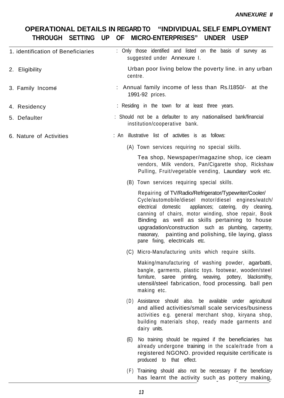## **OPERATIONAL DETAILS IN REGARD TO "INDIVIDUAL SELF EMPLOYMENT THROUGH SETTING UP OF MICRO-ENTERPRISES" UNDER USEP**

| 1. identification of Beneficiaries | : Only those identified and listed on the basis of survey as<br>suggested under Annexure I.                                                                                                                                                                                                                                                                                                                                          |
|------------------------------------|--------------------------------------------------------------------------------------------------------------------------------------------------------------------------------------------------------------------------------------------------------------------------------------------------------------------------------------------------------------------------------------------------------------------------------------|
| 2. Eligibility                     | Urban poor living below the poverty line. in any urban<br>centre.                                                                                                                                                                                                                                                                                                                                                                    |
| 3. Family Income                   | : Annual family income of less than Rs.11850/- at the<br>1991-92 prices.                                                                                                                                                                                                                                                                                                                                                             |
| 4. Residency                       | : Residing in the town for at least three years.                                                                                                                                                                                                                                                                                                                                                                                     |
| 5. Defaulter                       | : Should not be a defaulter to any nationalised bank/financial<br>institution/cooperative bank.                                                                                                                                                                                                                                                                                                                                      |
| 6. Nature of Activities            | : An illustrative list of activities is as follows:                                                                                                                                                                                                                                                                                                                                                                                  |
|                                    | (A) Town services requiring no special skills.                                                                                                                                                                                                                                                                                                                                                                                       |
|                                    | Tea shop, Newspaper/magazine shop, ice cieam<br>vendors, Milk vendors, Pan/Cigarette shop, Rickshaw<br>Pulling, Fruit/vegetable vending, Laundary work etc.                                                                                                                                                                                                                                                                          |
|                                    | (B) Town services requiring special skills.                                                                                                                                                                                                                                                                                                                                                                                          |
|                                    | Repairing of TV/Radio/Refrigerator/Typewriter/Cooler/<br>Cycle/automobile/diesel motor/diesel engines/watch/<br>appliances; catering, dry cleaning,<br>electrical domestic<br>canning of chairs, motor winding, shoe repair, Book<br>Binding as well as skills pertaining to house<br>upgradation/construction such as plumbing, carpentry,<br>masonary, painting and polishing, tile laying, glass<br>pane fixing, electricals etc. |
|                                    | (C) Micro-Manufacturing units which require skills.                                                                                                                                                                                                                                                                                                                                                                                  |
|                                    | Making/manufacturing of washing powder, agarbatti,<br>bangle, garments, plastic toys. footwear, wooden/steel<br>furniture, saree printing, weaving, pottery,<br>blacksmithy,<br>utensil/steel fabrication, food processing. ball pen<br>making etc.                                                                                                                                                                                  |
|                                    | (D) Assistance should also. be available under agricultural<br>and allied activities/small scale services/business<br>activities e.g. general merchant shop, kiryana shop,<br>building materials shop, ready made garments and<br>dairy units.                                                                                                                                                                                       |
|                                    | No training should be required if the beneficiaries has<br>(E)<br>already undergone training in the scale/trade from a<br>registered NGONO. provided requisite certificate is<br>produced to that effect.                                                                                                                                                                                                                            |
|                                    | (F) Training should also not be necessary if the beneficiary<br>has learnt the activity such as pottery making,                                                                                                                                                                                                                                                                                                                      |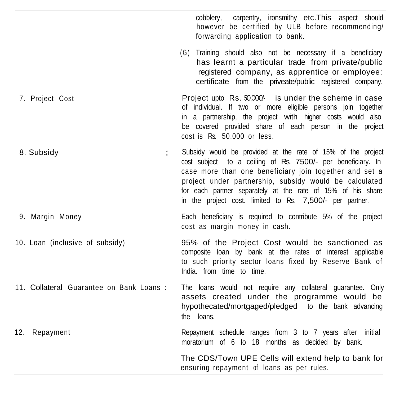cobblery, carpentry, ironsmithy etc.This aspect should however be certified by ULB before recommending/ forwarding application to bank.

(G) Training should also not be necessary if a beneficiary has learnt a particular trade from private/public registered company, as apprentice or employee: certificate from the priveate/public registered company.

Project upto Rs. 50,000<sup>-</sup> is under the scheme in case of individual. If two or more eligible persons join together in a partnership, the project with higher costs would also be covered provided share of each person in the project cost is Rs. 50,000 or less.

8. Subsidy Subsidy would be provided at the rate of 15% of the project cost subject to a ceiling of Rs. 7500/- per beneficiary. In case more than one beneficiary join together and set a project under partnership, subsidy would be calculated for each partner separately at the rate of 15% of his share in the project cost. limited to Rs. 7,500/- per partner.

7. Project Cost

9. Margin Money Each beneficiary is required to contribute 5% of the project cost as margin money in cash.

10. Loan (inclusive of subsidy) 95% of the Project Cost would be sanctioned as composite loan by bank at the rates of interest applicable to such priority sector loans fixed by Reserve Bank of India. from time to time.

11. Collateral Guarantee on Bank Loans : The loans would not require any collateral guarantee. Only assets created under the programme would be hypothecated/mortgaged/pledged to the bank advancing the loans.

12. Repayment Repayment schedule ranges from 3 to 7 years after initial moratorium of 6 lo 18 months as decided by bank.

> ensuring repayment of loans as per rules. The CDS/Town UPE Cells will extend help to bank for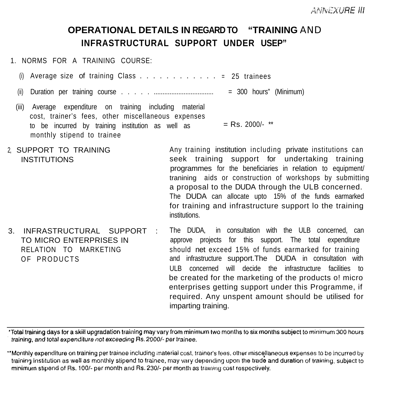## **OPERATIONAL DETAILS IN REGARD TO "TRAINING** AND **INFRASTRUCTURAL SUPPORT UNDER USEP"**

1. NORMS FOR A TRAINING COURSE:

- (i) Average size of training Class  $\dots \dots \dots \dots \dots = 25$  trainees
- (ii) Duration per training course . . . . . .................................. = 300 hours" (Minimum)
- (iii) Average expenditure on training including material cost, trainer's fees, other miscellaneous expenses to be incurred by training institution as well as  $=$  Rs. 2000/-  $**$ monthly stipend to trainee
- 2, SUPPORT TO TRAINING INSTITUTIONS Any training institution including private institutions can seek training support for undertaking training programmes for the beneficiaries in relation to equipment/ tranining aids or construction of workshops by submitting a proposal to the DUDA through the ULB concerned. The DUDA can allocate upto 15% of the funds earmarked for training and infrastructure support lo the training institutions.
- 3. INFRASTRUCTURAL SUPPORT : TO MICRO ENTERPRISES IN RELATION TO MARKETING OF PRODUCTS The DUDA, in consultation with the ULB concerned, can approve projects for this support. The total expenditure should net exceed 15% of funds earmarked for training and infrastructure support.The DUDA in consultation with ULB concerned will decide the infrastructure facilities to be created for the marketing of the products o! micro enterprises getting support under this Programme, if required. Any unspent amount should be utilised for imparting training.

\*Total training days for a skill upgradation training may vary from minimum two months to six months subject to minimum 300 hours training, and total expenditure not exceeding Rs. 2000/- per trainee.

"Monthly expenditure on training per trainee including material cost, trainer's lees, other miscellaneous expenses to be incurred by training institution as well as monthly stipend to trainee, may vary depending upon the trade and duration of training, subject to minimum stipend of Rs. 100/- per month and Rs. 230/- per month as training cost respectively.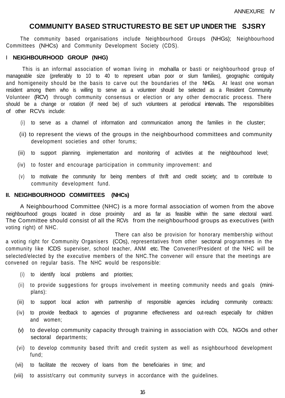### **COMMUNITY BASED STRUCTURESTO BE SET UP UNDER THE SJSRY**

The community based organisations include Neighbourhood Groups (NHGs); Neighbourhood Committees (NHCs) and Community Development Society (CDS).

#### **I NEIGHBOURHOOD GROUP (NHG)**

This is an informal association of woman living in mohalla or basti or neighbourhood group of manageable size (preferably to 10 to 40 to represent urban poor or slum families), geographic contiguity and homigeneity should be the basis to carve out the boundaries of the NHGs. At least one woman resident among them who is willing to serve as a volunteer should be selected as a Resident Community Volunteer (RCV) through community consensus or election or any other democratic process. There should be a change or rotation (if need be) of such volunteers at periodical intervals. The responsibilities of other RCVs include:

- (i) to serve as a channel of information and communication among the families in the cluster;
- (ii) to represent the views of the groups in the neighbourhood committees and community development societies and other forums;
- (iii) to support planning. implementation and monitoring of activities at the neighbourhood level;
- (iv) to foster and encourage participation in community improvement: and
- (v) to motivate the community for being members of thrift and credit society; and to contribute to community development fund.

#### **II. NEIGHBOURHOOD COMMllTEES (NHCs)**

A Neighbourhood Committee (NHC) is a more formal association of women from the above neighbourhood groups located in close proximity and as far as feasible within the same electoral ward. The Committee should consist of all the RCVs from the neighbourhood groups as executives (with voting right) of NHC.

 There can also be provision for honorary membership without a voting right for Community Organisers (COs), representatives from other sectoral programmes in the community like ICDS superviser, school teacher, ANM etc. The Convener/President of the NHC will be selected/elected by the executive members of the NHC.The convener will ensure that the meetings are convened on regular basis. The NHC would be responsible:

- (i) to identify local problems and priorities;
- (ii) to provide suggestions for groups involvement in meeting community needs and goals (miniplans):
- (iii) to support local action with partnership of responsible agencies including community contracts:
- (iv) to provide feedback to agencies of programme effectiveness and out-reach especially for children and women;
- (v) to develop community capacity through training in association with COs, NGOs and other sectoral departments;
- (vi) to develop community based thrift and credit system as well as nsighbourhood development fund;
- (vii) to facilitate the recovery of loans from the beneficiaries in time; and
- (viii) to assist/carry out community surveys in accordance with the guidelines.